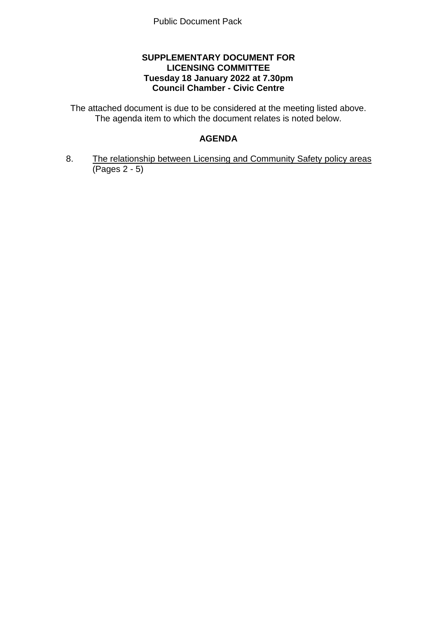# **SUPPLEMENTARY DOCUMENT FOR LICENSING COMMITTEE Tuesday 18 January 2022 at 7.30pm Council Chamber - Civic Centre**

The attached document is due to be considered at the meeting listed above. The agenda item to which the document relates is noted below.

# **AGENDA**

8. The relationship between Licensing and Community Safety policy areas (Pages 2 - 5)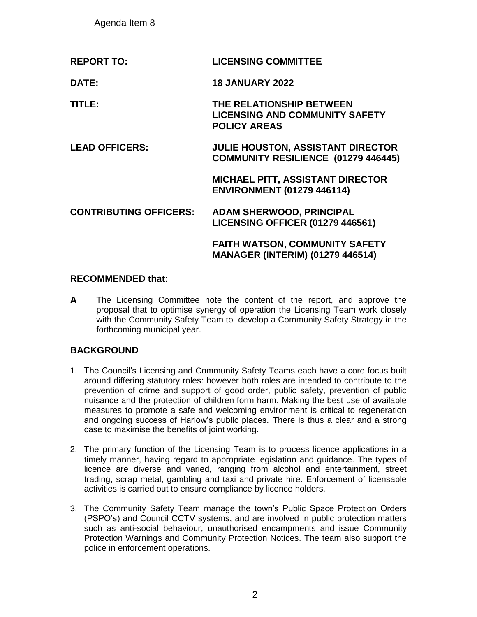Agenda Item 8

| <b>REPORT TO:</b>             | <b>LICENSING COMMITTEE</b>                                                               |
|-------------------------------|------------------------------------------------------------------------------------------|
| DATE:                         | <b>18 JANUARY 2022</b>                                                                   |
| TITLE:                        | THE RELATIONSHIP BETWEEN<br><b>LICENSING AND COMMUNITY SAFETY</b><br><b>POLICY AREAS</b> |
| <b>LEAD OFFICERS:</b>         | <b>JULIE HOUSTON, ASSISTANT DIRECTOR</b><br>COMMUNITY RESILIENCE (01279 446445)          |
|                               | <b>MICHAEL PITT, ASSISTANT DIRECTOR</b><br><b>ENVIRONMENT (01279 446114)</b>             |
| <b>CONTRIBUTING OFFICERS:</b> | <b>ADAM SHERWOOD, PRINCIPAL</b><br><b>LICENSING OFFICER (01279 446561)</b>               |
|                               | <b>FAITH WATSON, COMMUNITY SAFETY</b><br><b>MANAGER (INTERIM) (01279 446514)</b>         |

# **RECOMMENDED that:**

**A** The Licensing Committee note the content of the report, and approve the proposal that to optimise synergy of operation the Licensing Team work closely with the Community Safety Team to develop a Community Safety Strategy in the forthcoming municipal year.

# **BACKGROUND**

- 1. The Council's Licensing and Community Safety Teams each have a core focus built around differing statutory roles: however both roles are intended to contribute to the prevention of crime and support of good order, public safety, prevention of public nuisance and the protection of children form harm. Making the best use of available measures to promote a safe and welcoming environment is critical to regeneration and ongoing success of Harlow's public places. There is thus a clear and a strong case to maximise the benefits of joint working.
- 2. The primary function of the Licensing Team is to process licence applications in a timely manner, having regard to appropriate legislation and guidance. The types of licence are diverse and varied, ranging from alcohol and entertainment, street trading, scrap metal, gambling and taxi and private hire. Enforcement of licensable activities is carried out to ensure compliance by licence holders.
- 3. The Community Safety Team manage the town's Public Space Protection Orders (PSPO's) and Council CCTV systems, and are involved in public protection matters such as anti-social behaviour, unauthorised encampments and issue Community Protection Warnings and Community Protection Notices. The team also support the police in enforcement operations.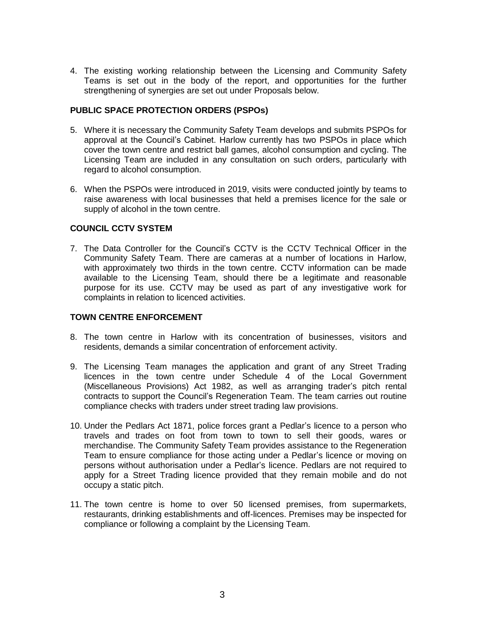4. The existing working relationship between the Licensing and Community Safety Teams is set out in the body of the report, and opportunities for the further strengthening of synergies are set out under Proposals below.

### **PUBLIC SPACE PROTECTION ORDERS (PSPOs)**

- 5. Where it is necessary the Community Safety Team develops and submits PSPOs for approval at the Council's Cabinet. Harlow currently has two PSPOs in place which cover the town centre and restrict ball games, alcohol consumption and cycling. The Licensing Team are included in any consultation on such orders, particularly with regard to alcohol consumption.
- 6. When the PSPOs were introduced in 2019, visits were conducted jointly by teams to raise awareness with local businesses that held a premises licence for the sale or supply of alcohol in the town centre.

## **COUNCIL CCTV SYSTEM**

7. The Data Controller for the Council's CCTV is the CCTV Technical Officer in the Community Safety Team. There are cameras at a number of locations in Harlow, with approximately two thirds in the town centre. CCTV information can be made available to the Licensing Team, should there be a legitimate and reasonable purpose for its use. CCTV may be used as part of any investigative work for complaints in relation to licenced activities.

## **TOWN CENTRE ENFORCEMENT**

- 8. The town centre in Harlow with its concentration of businesses, visitors and residents, demands a similar concentration of enforcement activity.
- 9. The Licensing Team manages the application and grant of any Street Trading licences in the town centre under Schedule 4 of the Local Government (Miscellaneous Provisions) Act 1982, as well as arranging trader's pitch rental contracts to support the Council's Regeneration Team. The team carries out routine compliance checks with traders under street trading law provisions.
- 10. Under the Pedlars Act 1871, police forces grant a Pedlar's licence to a person who travels and trades on foot from town to town to sell their goods, wares or merchandise. The Community Safety Team provides assistance to the Regeneration Team to ensure compliance for those acting under a Pedlar's licence or moving on persons without authorisation under a Pedlar's licence. Pedlars are not required to apply for a Street Trading licence provided that they remain mobile and do not occupy a static pitch.
- 11. The town centre is home to over 50 licensed premises, from supermarkets, restaurants, drinking establishments and off-licences. Premises may be inspected for compliance or following a complaint by the Licensing Team.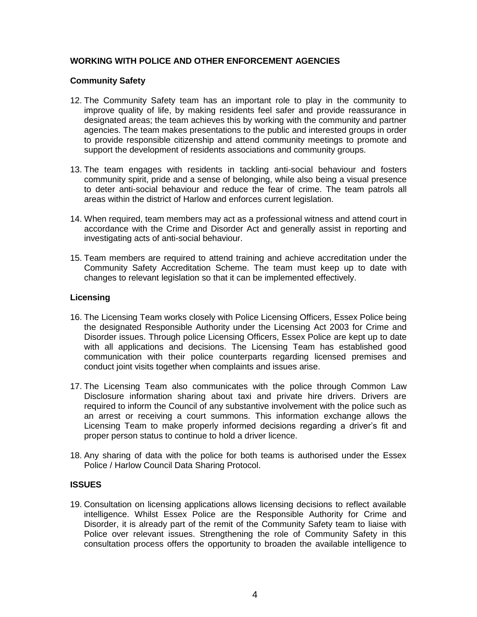# **WORKING WITH POLICE AND OTHER ENFORCEMENT AGENCIES**

### **Community Safety**

- 12. The Community Safety team has an important role to play in the community to improve quality of life, by making residents feel safer and provide reassurance in designated areas; the team achieves this by working with the community and partner agencies. The team makes presentations to the public and interested groups in order to provide responsible citizenship and attend community meetings to promote and support the development of residents associations and community groups.
- 13. The team engages with residents in tackling anti-social behaviour and fosters community spirit, pride and a sense of belonging, while also being a visual presence to deter anti-social behaviour and reduce the fear of crime. The team patrols all areas within the district of Harlow and enforces current legislation.
- 14. When required, team members may act as a professional witness and attend court in accordance with the Crime and Disorder Act and generally assist in reporting and investigating acts of anti-social behaviour.
- 15. Team members are required to attend training and achieve accreditation under the Community Safety Accreditation Scheme. The team must keep up to date with changes to relevant legislation so that it can be implemented effectively.

## **Licensing**

- 16. The Licensing Team works closely with Police Licensing Officers, Essex Police being the designated Responsible Authority under the Licensing Act 2003 for Crime and Disorder issues. Through police Licensing Officers, Essex Police are kept up to date with all applications and decisions. The Licensing Team has established good communication with their police counterparts regarding licensed premises and conduct joint visits together when complaints and issues arise.
- 17. The Licensing Team also communicates with the police through Common Law Disclosure information sharing about taxi and private hire drivers. Drivers are required to inform the Council of any substantive involvement with the police such as an arrest or receiving a court summons. This information exchange allows the Licensing Team to make properly informed decisions regarding a driver's fit and proper person status to continue to hold a driver licence.
- 18. Any sharing of data with the police for both teams is authorised under the Essex Police / Harlow Council Data Sharing Protocol.

## **ISSUES**

19. Consultation on licensing applications allows licensing decisions to reflect available intelligence. Whilst Essex Police are the Responsible Authority for Crime and Disorder, it is already part of the remit of the Community Safety team to liaise with Police over relevant issues. Strengthening the role of Community Safety in this consultation process offers the opportunity to broaden the available intelligence to